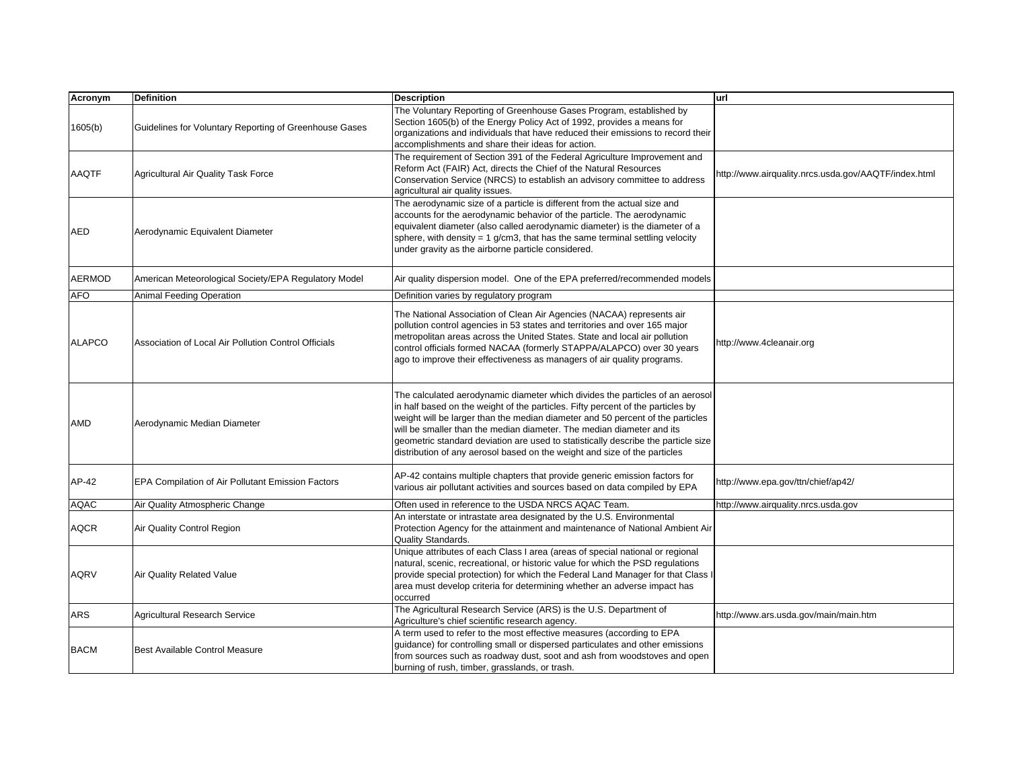| Acronym       | <b>Definition</b>                                      | <b>Description</b>                                                                                                                                                                                                                                                                                                                                                                                                                                                                            | url                                                  |
|---------------|--------------------------------------------------------|-----------------------------------------------------------------------------------------------------------------------------------------------------------------------------------------------------------------------------------------------------------------------------------------------------------------------------------------------------------------------------------------------------------------------------------------------------------------------------------------------|------------------------------------------------------|
| 1605(b)       | Guidelines for Voluntary Reporting of Greenhouse Gases | The Voluntary Reporting of Greenhouse Gases Program, established by<br>Section 1605(b) of the Energy Policy Act of 1992, provides a means for<br>organizations and individuals that have reduced their emissions to record their<br>accomplishments and share their ideas for action.                                                                                                                                                                                                         |                                                      |
| AAQTF         | <b>Agricultural Air Quality Task Force</b>             | The requirement of Section 391 of the Federal Agriculture Improvement and<br>Reform Act (FAIR) Act, directs the Chief of the Natural Resources<br>Conservation Service (NRCS) to establish an advisory committee to address<br>agricultural air quality issues.                                                                                                                                                                                                                               | http://www.airquality.nrcs.usda.gov/AAQTF/index.html |
| AED           | Aerodynamic Equivalent Diameter                        | The aerodynamic size of a particle is different from the actual size and<br>accounts for the aerodynamic behavior of the particle. The aerodynamic<br>equivalent diameter (also called aerodynamic diameter) is the diameter of a<br>sphere, with density = 1 $g/cm3$ , that has the same terminal settling velocity<br>under gravity as the airborne particle considered.                                                                                                                    |                                                      |
| <b>AERMOD</b> | American Meteorological Society/EPA Regulatory Model   | Air quality dispersion model. One of the EPA preferred/recommended models                                                                                                                                                                                                                                                                                                                                                                                                                     |                                                      |
| AFO           | <b>Animal Feeding Operation</b>                        | Definition varies by regulatory program                                                                                                                                                                                                                                                                                                                                                                                                                                                       |                                                      |
| <b>ALAPCO</b> | Association of Local Air Pollution Control Officials   | The National Association of Clean Air Agencies (NACAA) represents air<br>pollution control agencies in 53 states and territories and over 165 major<br>metropolitan areas across the United States. State and local air pollution<br>control officials formed NACAA (formerly STAPPA/ALAPCO) over 30 years<br>ago to improve their effectiveness as managers of air quality programs.                                                                                                         | http://www.4cleanair.org                             |
| AMD           | Aerodynamic Median Diameter                            | The calculated aerodynamic diameter which divides the particles of an aerosol<br>in half based on the weight of the particles. Fifty percent of the particles by<br>weight will be larger than the median diameter and 50 percent of the particles<br>will be smaller than the median diameter. The median diameter and its<br>geometric standard deviation are used to statistically describe the particle size<br>distribution of any aerosol based on the weight and size of the particles |                                                      |
| AP-42         | EPA Compilation of Air Pollutant Emission Factors      | AP-42 contains multiple chapters that provide generic emission factors for<br>various air pollutant activities and sources based on data compiled by EPA                                                                                                                                                                                                                                                                                                                                      | http://www.epa.gov/ttn/chief/ap42/                   |
| AQAC          | Air Quality Atmospheric Change                         | Often used in reference to the USDA NRCS AQAC Team.                                                                                                                                                                                                                                                                                                                                                                                                                                           | http://www.airquality.nrcs.usda.gov                  |
| <b>AQCR</b>   | Air Quality Control Region                             | An interstate or intrastate area designated by the U.S. Environmental<br>Protection Agency for the attainment and maintenance of National Ambient Air<br>Quality Standards.                                                                                                                                                                                                                                                                                                                   |                                                      |
| <b>AQRV</b>   | Air Quality Related Value                              | Unique attributes of each Class I area (areas of special national or regional<br>natural, scenic, recreational, or historic value for which the PSD regulations<br>provide special protection) for which the Federal Land Manager for that Class I<br>area must develop criteria for determining whether an adverse impact has<br>occurred                                                                                                                                                    |                                                      |
| ARS           | <b>Agricultural Research Service</b>                   | The Agricultural Research Service (ARS) is the U.S. Department of<br>Agriculture's chief scientific research agency.                                                                                                                                                                                                                                                                                                                                                                          | http://www.ars.usda.gov/main/main.htm                |
| <b>BACM</b>   | <b>Best Available Control Measure</b>                  | A term used to refer to the most effective measures (according to EPA<br>guidance) for controlling small or dispersed particulates and other emissions<br>from sources such as roadway dust, soot and ash from woodstoves and open<br>burning of rush, timber, grasslands, or trash.                                                                                                                                                                                                          |                                                      |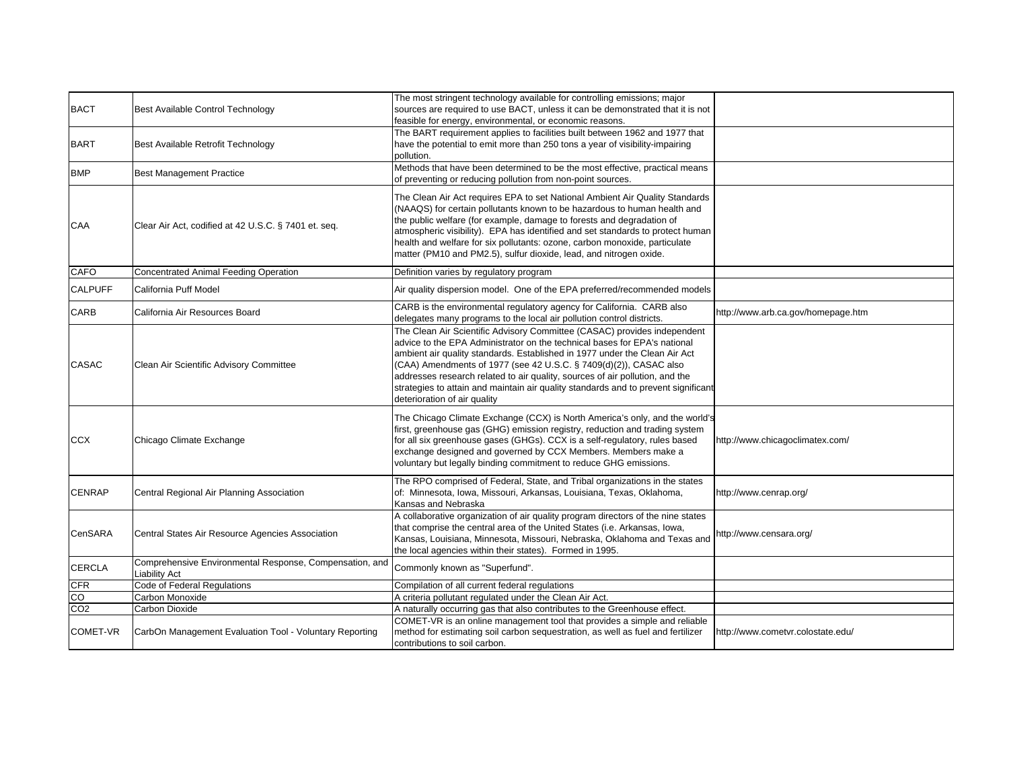| <b>BACT</b>     | Best Available Control Technology                                               | The most stringent technology available for controlling emissions; major<br>sources are required to use BACT, unless it can be demonstrated that it is not<br>feasible for energy, environmental, or economic reasons.                                                                                                                                                                                                                                                                                         |                                    |
|-----------------|---------------------------------------------------------------------------------|----------------------------------------------------------------------------------------------------------------------------------------------------------------------------------------------------------------------------------------------------------------------------------------------------------------------------------------------------------------------------------------------------------------------------------------------------------------------------------------------------------------|------------------------------------|
| <b>BART</b>     | Best Available Retrofit Technology                                              | The BART requirement applies to facilities built between 1962 and 1977 that<br>have the potential to emit more than 250 tons a year of visibility-impairing<br>pollution.                                                                                                                                                                                                                                                                                                                                      |                                    |
| <b>BMP</b>      | <b>Best Management Practice</b>                                                 | Methods that have been determined to be the most effective, practical means<br>of preventing or reducing pollution from non-point sources.                                                                                                                                                                                                                                                                                                                                                                     |                                    |
| CAA             | Clear Air Act, codified at 42 U.S.C. § 7401 et. seq.                            | The Clean Air Act requires EPA to set National Ambient Air Quality Standards<br>(NAAQS) for certain pollutants known to be hazardous to human health and<br>the public welfare (for example, damage to forests and degradation of<br>atmospheric visibility). EPA has identified and set standards to protect human<br>health and welfare for six pollutants: ozone, carbon monoxide, particulate<br>matter (PM10 and PM2.5), sulfur dioxide, lead, and nitrogen oxide.                                        |                                    |
| <b>CAFO</b>     | Concentrated Animal Feeding Operation                                           | Definition varies by regulatory program                                                                                                                                                                                                                                                                                                                                                                                                                                                                        |                                    |
| <b>CALPUFF</b>  | California Puff Model                                                           | Air quality dispersion model. One of the EPA preferred/recommended models                                                                                                                                                                                                                                                                                                                                                                                                                                      |                                    |
| CARB            | California Air Resources Board                                                  | CARB is the environmental regulatory agency for California. CARB also<br>delegates many programs to the local air pollution control districts.                                                                                                                                                                                                                                                                                                                                                                 | http://www.arb.ca.gov/homepage.htm |
| CASAC           | Clean Air Scientific Advisory Committee                                         | The Clean Air Scientific Advisory Committee (CASAC) provides independent<br>advice to the EPA Administrator on the technical bases for EPA's national<br>ambient air quality standards. Established in 1977 under the Clean Air Act<br>(CAA) Amendments of 1977 (see 42 U.S.C. § 7409(d)(2)), CASAC also<br>addresses research related to air quality, sources of air pollution, and the<br>strategies to attain and maintain air quality standards and to prevent significant<br>deterioration of air quality |                                    |
| <b>CCX</b>      | Chicago Climate Exchange                                                        | The Chicago Climate Exchange (CCX) is North America's only, and the world's<br>first, greenhouse gas (GHG) emission registry, reduction and trading system<br>for all six greenhouse gases (GHGs). CCX is a self-regulatory, rules based<br>exchange designed and governed by CCX Members. Members make a<br>voluntary but legally binding commitment to reduce GHG emissions.                                                                                                                                 | http://www.chicagoclimatex.com/    |
| <b>CENRAP</b>   | Central Regional Air Planning Association                                       | The RPO comprised of Federal, State, and Tribal organizations in the states<br>of: Minnesota, Iowa, Missouri, Arkansas, Louisiana, Texas, Oklahoma,<br>Kansas and Nebraska                                                                                                                                                                                                                                                                                                                                     | http://www.cenrap.org/             |
| CenSARA         | Central States Air Resource Agencies Association                                | A collaborative organization of air quality program directors of the nine states<br>that comprise the central area of the United States (i.e. Arkansas, Iowa,<br>Kansas, Louisiana, Minnesota, Missouri, Nebraska, Oklahoma and Texas and<br>the local agencies within their states). Formed in 1995.                                                                                                                                                                                                          | http://www.censara.org/            |
| CERCLA          | Comprehensive Environmental Response, Compensation, and<br><b>Liability Act</b> | Commonly known as "Superfund".                                                                                                                                                                                                                                                                                                                                                                                                                                                                                 |                                    |
| <b>CFR</b>      | Code of Federal Regulations                                                     | Compilation of all current federal regulations                                                                                                                                                                                                                                                                                                                                                                                                                                                                 |                                    |
| $\overline{c}$  | Carbon Monoxide                                                                 | A criteria pollutant regulated under the Clean Air Act.                                                                                                                                                                                                                                                                                                                                                                                                                                                        |                                    |
| CO <sub>2</sub> | Carbon Dioxide                                                                  | A naturally occurring gas that also contributes to the Greenhouse effect.                                                                                                                                                                                                                                                                                                                                                                                                                                      |                                    |
| COMET-VR        | CarbOn Management Evaluation Tool - Voluntary Reporting                         | COMET-VR is an online management tool that provides a simple and reliable<br>method for estimating soil carbon sequestration, as well as fuel and fertilizer<br>contributions to soil carbon.                                                                                                                                                                                                                                                                                                                  | http://www.cometvr.colostate.edu/  |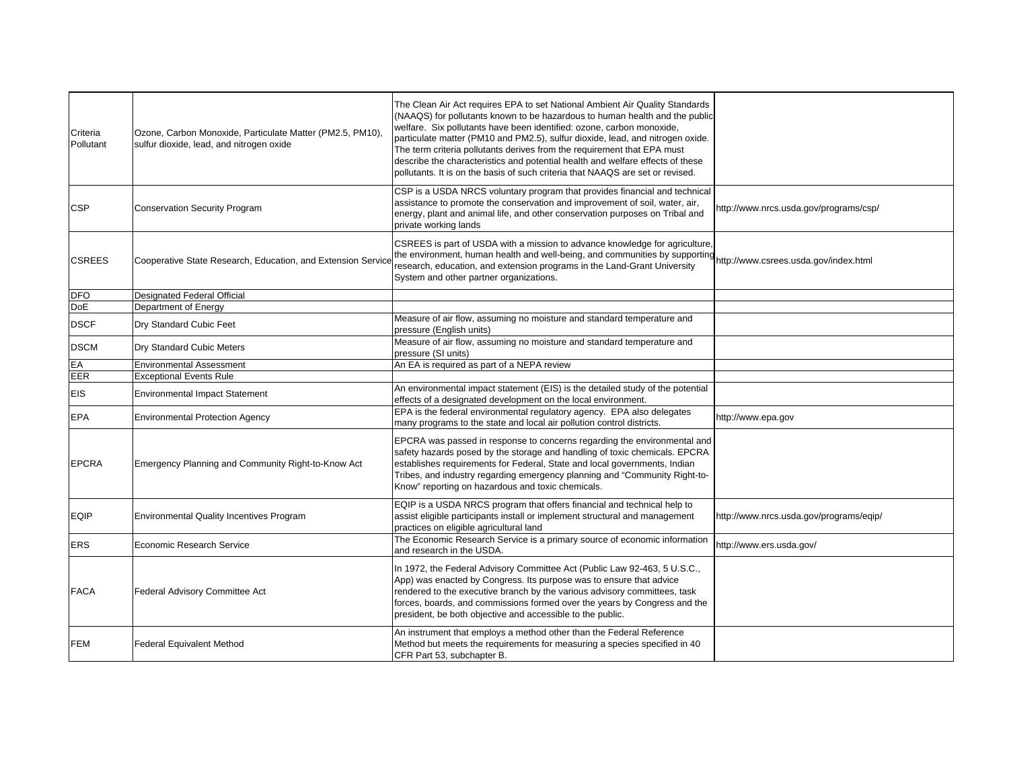| Criteria<br>Pollutant | Ozone, Carbon Monoxide, Particulate Matter (PM2.5, PM10),<br>sulfur dioxide, lead, and nitrogen oxide | The Clean Air Act requires EPA to set National Ambient Air Quality Standards<br>(NAAQS) for pollutants known to be hazardous to human health and the public<br>welfare. Six pollutants have been identified: ozone, carbon monoxide,<br>particulate matter (PM10 and PM2.5), sulfur dioxide, lead, and nitrogen oxide.<br>The term criteria pollutants derives from the requirement that EPA must<br>describe the characteristics and potential health and welfare effects of these<br>pollutants. It is on the basis of such criteria that NAAQS are set or revised. |                                         |
|-----------------------|-------------------------------------------------------------------------------------------------------|-----------------------------------------------------------------------------------------------------------------------------------------------------------------------------------------------------------------------------------------------------------------------------------------------------------------------------------------------------------------------------------------------------------------------------------------------------------------------------------------------------------------------------------------------------------------------|-----------------------------------------|
| <b>CSP</b>            | <b>Conservation Security Program</b>                                                                  | CSP is a USDA NRCS voluntary program that provides financial and technical<br>assistance to promote the conservation and improvement of soil, water, air,<br>energy, plant and animal life, and other conservation purposes on Tribal and<br>private working lands                                                                                                                                                                                                                                                                                                    | http://www.nrcs.usda.gov/programs/csp/  |
| <b>CSREES</b>         | Cooperative State Research, Education, and Extension Service                                          | CSREES is part of USDA with a mission to advance knowledge for agriculture,<br>the environment, human health and well-being, and communities by supporting<br>research, education, and extension programs in the Land-Grant University<br>System and other partner organizations.                                                                                                                                                                                                                                                                                     | http://www.csrees.usda.gov/index.html   |
| <b>DFO</b>            | <b>Designated Federal Official</b>                                                                    |                                                                                                                                                                                                                                                                                                                                                                                                                                                                                                                                                                       |                                         |
| DoE                   | Department of Energy                                                                                  |                                                                                                                                                                                                                                                                                                                                                                                                                                                                                                                                                                       |                                         |
| <b>DSCF</b>           | Dry Standard Cubic Feet                                                                               | Measure of air flow, assuming no moisture and standard temperature and<br>pressure (English units)                                                                                                                                                                                                                                                                                                                                                                                                                                                                    |                                         |
| <b>DSCM</b>           | Dry Standard Cubic Meters                                                                             | Measure of air flow, assuming no moisture and standard temperature and<br>pressure (SI units)                                                                                                                                                                                                                                                                                                                                                                                                                                                                         |                                         |
| EA                    | <b>Environmental Assessment</b>                                                                       | An EA is required as part of a NEPA review                                                                                                                                                                                                                                                                                                                                                                                                                                                                                                                            |                                         |
| EER                   | <b>Exceptional Events Rule</b>                                                                        |                                                                                                                                                                                                                                                                                                                                                                                                                                                                                                                                                                       |                                         |
| <b>EIS</b>            | <b>Environmental Impact Statement</b>                                                                 | An environmental impact statement (EIS) is the detailed study of the potential<br>effects of a designated development on the local environment.                                                                                                                                                                                                                                                                                                                                                                                                                       |                                         |
| <b>EPA</b>            | <b>Environmental Protection Agency</b>                                                                | EPA is the federal environmental regulatory agency. EPA also delegates<br>many programs to the state and local air pollution control districts.                                                                                                                                                                                                                                                                                                                                                                                                                       | http://www.epa.gov                      |
| <b>EPCRA</b>          | Emergency Planning and Community Right-to-Know Act                                                    | EPCRA was passed in response to concerns regarding the environmental and<br>safety hazards posed by the storage and handling of toxic chemicals. EPCRA<br>establishes requirements for Federal, State and local governments, Indian<br>Tribes, and industry regarding emergency planning and "Community Right-to-<br>Know" reporting on hazardous and toxic chemicals.                                                                                                                                                                                                |                                         |
| <b>EQIP</b>           | <b>Environmental Quality Incentives Program</b>                                                       | EQIP is a USDA NRCS program that offers financial and technical help to<br>assist eligible participants install or implement structural and management<br>practices on eligible agricultural land                                                                                                                                                                                                                                                                                                                                                                     | http://www.nrcs.usda.gov/programs/eqip/ |
| <b>ERS</b>            | Economic Research Service                                                                             | The Economic Research Service is a primary source of economic information<br>and research in the USDA.                                                                                                                                                                                                                                                                                                                                                                                                                                                                | http://www.ers.usda.gov/                |
| <b>FACA</b>           | Federal Advisory Committee Act                                                                        | In 1972, the Federal Advisory Committee Act (Public Law 92-463, 5 U.S.C.,<br>App) was enacted by Congress. Its purpose was to ensure that advice<br>rendered to the executive branch by the various advisory committees, task<br>forces, boards, and commissions formed over the years by Congress and the<br>president, be both objective and accessible to the public.                                                                                                                                                                                              |                                         |
| <b>FEM</b>            | <b>Federal Equivalent Method</b>                                                                      | An instrument that employs a method other than the Federal Reference<br>Method but meets the requirements for measuring a species specified in 40<br>CFR Part 53, subchapter B.                                                                                                                                                                                                                                                                                                                                                                                       |                                         |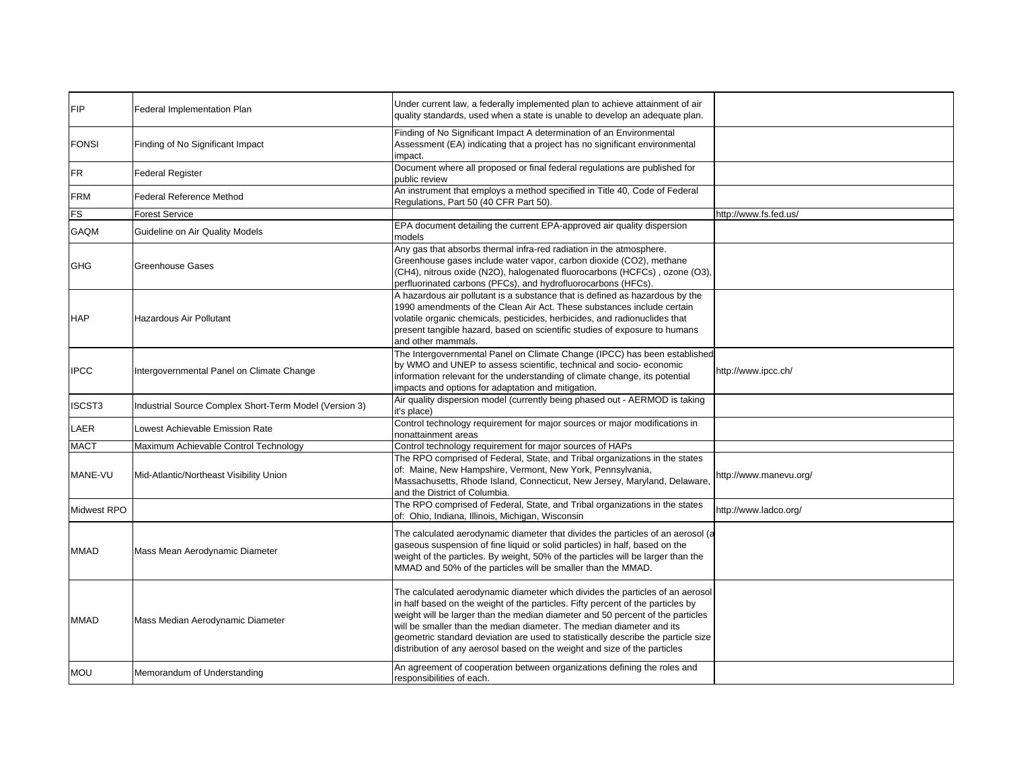| <b>FIP</b>   | <b>Federal Implementation Plan</b>                     | Under current law, a federally implemented plan to achieve attainment of air<br>quality standards, used when a state is unable to develop an adequate plan.                                                                                                                                                                                                                                                                                                                                   |                        |
|--------------|--------------------------------------------------------|-----------------------------------------------------------------------------------------------------------------------------------------------------------------------------------------------------------------------------------------------------------------------------------------------------------------------------------------------------------------------------------------------------------------------------------------------------------------------------------------------|------------------------|
| <b>FONSI</b> | Finding of No Significant Impact                       | Finding of No Significant Impact A determination of an Environmental<br>Assessment (EA) indicating that a project has no significant environmental<br>impact.                                                                                                                                                                                                                                                                                                                                 |                        |
| FR           | <b>Federal Register</b>                                | Document where all proposed or final federal regulations are published for<br>public review                                                                                                                                                                                                                                                                                                                                                                                                   |                        |
| <b>FRM</b>   | <b>Federal Reference Method</b>                        | An instrument that employs a method specified in Title 40, Code of Federal<br>Regulations, Part 50 (40 CFR Part 50).                                                                                                                                                                                                                                                                                                                                                                          |                        |
| FS           | Forest Service                                         |                                                                                                                                                                                                                                                                                                                                                                                                                                                                                               | http://www.fs.fed.us/  |
| GAQM         | Guideline on Air Quality Models                        | EPA document detailing the current EPA-approved air quality dispersion<br>models                                                                                                                                                                                                                                                                                                                                                                                                              |                        |
| <b>GHG</b>   | <b>Greenhouse Gases</b>                                | Any gas that absorbs thermal infra-red radiation in the atmosphere.<br>Greenhouse gases include water vapor, carbon dioxide (CO2), methane<br>(CH4), nitrous oxide (N2O), halogenated fluorocarbons (HCFCs), ozone (O3),<br>perfluorinated carbons (PFCs), and hydrofluorocarbons (HFCs).                                                                                                                                                                                                     |                        |
| <b>HAP</b>   | <b>Hazardous Air Pollutant</b>                         | A hazardous air pollutant is a substance that is defined as hazardous by the<br>1990 amendments of the Clean Air Act. These substances include certain<br>volatile organic chemicals, pesticides, herbicides, and radionuclides that<br>present tangible hazard, based on scientific studies of exposure to humans<br>and other mammals.                                                                                                                                                      |                        |
| <b>IPCC</b>  | Intergovernmental Panel on Climate Change              | The Intergovernmental Panel on Climate Change (IPCC) has been established<br>by WMO and UNEP to assess scientific, technical and socio-economic<br>information relevant for the understanding of climate change, its potential<br>impacts and options for adaptation and mitigation.                                                                                                                                                                                                          | http://www.ipcc.ch/    |
| ISCST3       | Industrial Source Complex Short-Term Model (Version 3) | Air quality dispersion model (currently being phased out - AERMOD is taking<br>it's place)                                                                                                                                                                                                                                                                                                                                                                                                    |                        |
| LAER         | Lowest Achievable Emission Rate                        | Control technology requirement for major sources or major modifications in<br>nonattainment areas                                                                                                                                                                                                                                                                                                                                                                                             |                        |
| <b>MACT</b>  | Maximum Achievable Control Technology                  | Control technology requirement for major sources of HAPs                                                                                                                                                                                                                                                                                                                                                                                                                                      |                        |
| MANE-VU      | Mid-Atlantic/Northeast Visibility Union                | The RPO comprised of Federal, State, and Tribal organizations in the states<br>of: Maine, New Hampshire, Vermont, New York, Pennsylvania,<br>Massachusetts, Rhode Island, Connecticut, New Jersey, Maryland, Delaware,<br>and the District of Columbia.                                                                                                                                                                                                                                       | http://www.manevu.org/ |
| Midwest RPO  |                                                        | The RPO comprised of Federal, State, and Tribal organizations in the states<br>of: Ohio, Indiana, Illinois, Michigan, Wisconsin                                                                                                                                                                                                                                                                                                                                                               | http://www.ladco.org/  |
| MMAD         | Mass Mean Aerodynamic Diameter                         | The calculated aerodynamic diameter that divides the particles of an aerosol (a<br>gaseous suspension of fine liquid or solid particles) in half, based on the<br>weight of the particles. By weight, 50% of the particles will be larger than the<br>MMAD and 50% of the particles will be smaller than the MMAD.                                                                                                                                                                            |                        |
| <b>MMAD</b>  | Mass Median Aerodynamic Diameter                       | The calculated aerodynamic diameter which divides the particles of an aerosol<br>in half based on the weight of the particles. Fifty percent of the particles by<br>weight will be larger than the median diameter and 50 percent of the particles<br>will be smaller than the median diameter. The median diameter and its<br>geometric standard deviation are used to statistically describe the particle size<br>distribution of any aerosol based on the weight and size of the particles |                        |
| <b>MOU</b>   | Memorandum of Understanding                            | An agreement of cooperation between organizations defining the roles and<br>responsibilities of each.                                                                                                                                                                                                                                                                                                                                                                                         |                        |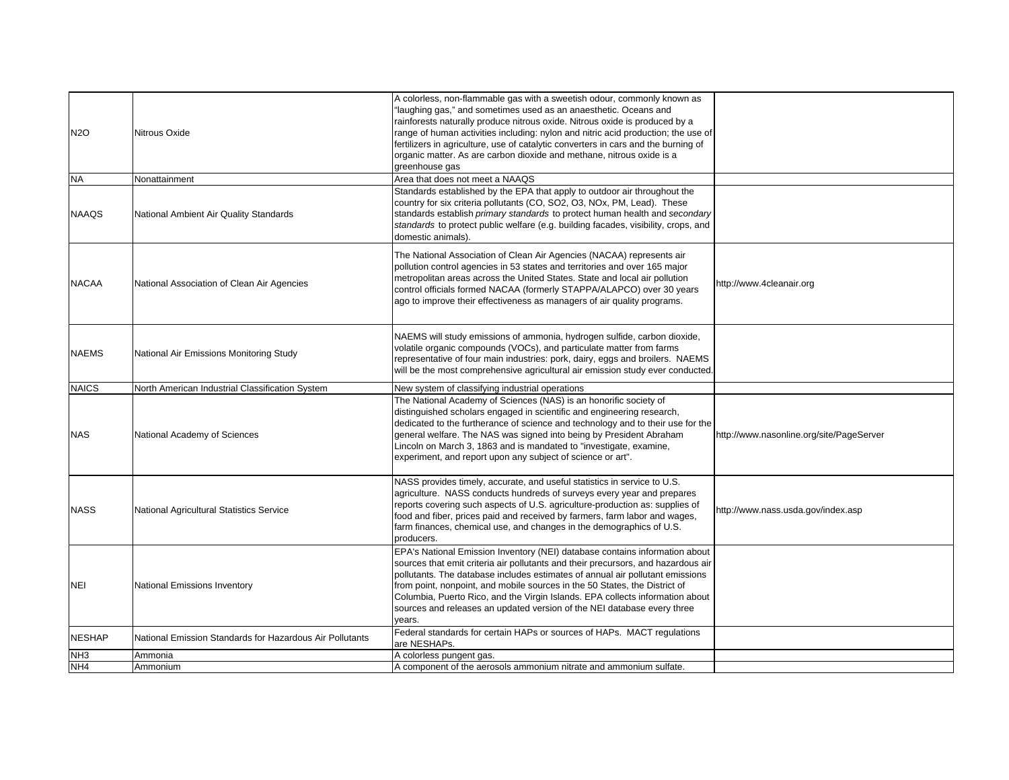| N2O             | Nitrous Oxide                                            | A colorless, non-flammable gas with a sweetish odour, commonly known as<br>"laughing gas," and sometimes used as an anaesthetic. Oceans and<br>rainforests naturally produce nitrous oxide. Nitrous oxide is produced by a<br>range of human activities including: nylon and nitric acid production; the use of<br>fertilizers in agriculture, use of catalytic converters in cars and the burning of<br>organic matter. As are carbon dioxide and methane, nitrous oxide is a<br>greenhouse gas      |                                          |
|-----------------|----------------------------------------------------------|-------------------------------------------------------------------------------------------------------------------------------------------------------------------------------------------------------------------------------------------------------------------------------------------------------------------------------------------------------------------------------------------------------------------------------------------------------------------------------------------------------|------------------------------------------|
| <b>NA</b>       | Nonattainment                                            | Area that does not meet a NAAQS                                                                                                                                                                                                                                                                                                                                                                                                                                                                       |                                          |
| <b>NAAQS</b>    | National Ambient Air Quality Standards                   | Standards established by the EPA that apply to outdoor air throughout the<br>country for six criteria pollutants (CO, SO2, O3, NOx, PM, Lead). These<br>standards establish primary standards to protect human health and secondary<br>standards to protect public welfare (e.g. building facades, visibility, crops, and<br>domestic animals).                                                                                                                                                       |                                          |
| <b>NACAA</b>    | National Association of Clean Air Agencies               | The National Association of Clean Air Agencies (NACAA) represents air<br>pollution control agencies in 53 states and territories and over 165 major<br>metropolitan areas across the United States. State and local air pollution<br>control officials formed NACAA (formerly STAPPA/ALAPCO) over 30 years<br>ago to improve their effectiveness as managers of air quality programs.                                                                                                                 | http://www.4cleanair.org                 |
| <b>NAEMS</b>    | National Air Emissions Monitoring Study                  | NAEMS will study emissions of ammonia, hydrogen sulfide, carbon dioxide,<br>volatile organic compounds (VOCs), and particulate matter from farms<br>representative of four main industries: pork, dairy, eggs and broilers. NAEMS<br>will be the most comprehensive agricultural air emission study ever conducted.                                                                                                                                                                                   |                                          |
| <b>NAICS</b>    | North American Industrial Classification System          | New system of classifying industrial operations                                                                                                                                                                                                                                                                                                                                                                                                                                                       |                                          |
| NAS             | National Academy of Sciences                             | The National Academy of Sciences (NAS) is an honorific society of<br>distinguished scholars engaged in scientific and engineering research,<br>dedicated to the furtherance of science and technology and to their use for the<br>general welfare. The NAS was signed into being by President Abraham<br>Lincoln on March 3, 1863 and is mandated to "investigate, examine,<br>experiment, and report upon any subject of science or art".                                                            | http://www.nasonline.org/site/PageServer |
| <b>NASS</b>     | National Agricultural Statistics Service                 | NASS provides timely, accurate, and useful statistics in service to U.S.<br>agriculture. NASS conducts hundreds of surveys every year and prepares<br>reports covering such aspects of U.S. agriculture-production as: supplies of<br>food and fiber, prices paid and received by farmers, farm labor and wages,<br>farm finances, chemical use, and changes in the demographics of U.S.<br>producers.                                                                                                | http://www.nass.usda.gov/index.asp       |
| NEI             | <b>National Emissions Inventory</b>                      | EPA's National Emission Inventory (NEI) database contains information about<br>sources that emit criteria air pollutants and their precursors, and hazardous air<br>pollutants. The database includes estimates of annual air pollutant emissions<br>from point, nonpoint, and mobile sources in the 50 States, the District of<br>Columbia, Puerto Rico, and the Virgin Islands. EPA collects information about<br>sources and releases an updated version of the NEI database every three<br>years. |                                          |
| <b>NESHAP</b>   | National Emission Standards for Hazardous Air Pollutants | Federal standards for certain HAPs or sources of HAPs. MACT regulations<br>are NESHAPs.                                                                                                                                                                                                                                                                                                                                                                                                               |                                          |
| NH <sub>3</sub> | Ammonia                                                  | A colorless pungent gas.                                                                                                                                                                                                                                                                                                                                                                                                                                                                              |                                          |
| NH <sub>4</sub> | Ammonium                                                 | A component of the aerosols ammonium nitrate and ammonium sulfate.                                                                                                                                                                                                                                                                                                                                                                                                                                    |                                          |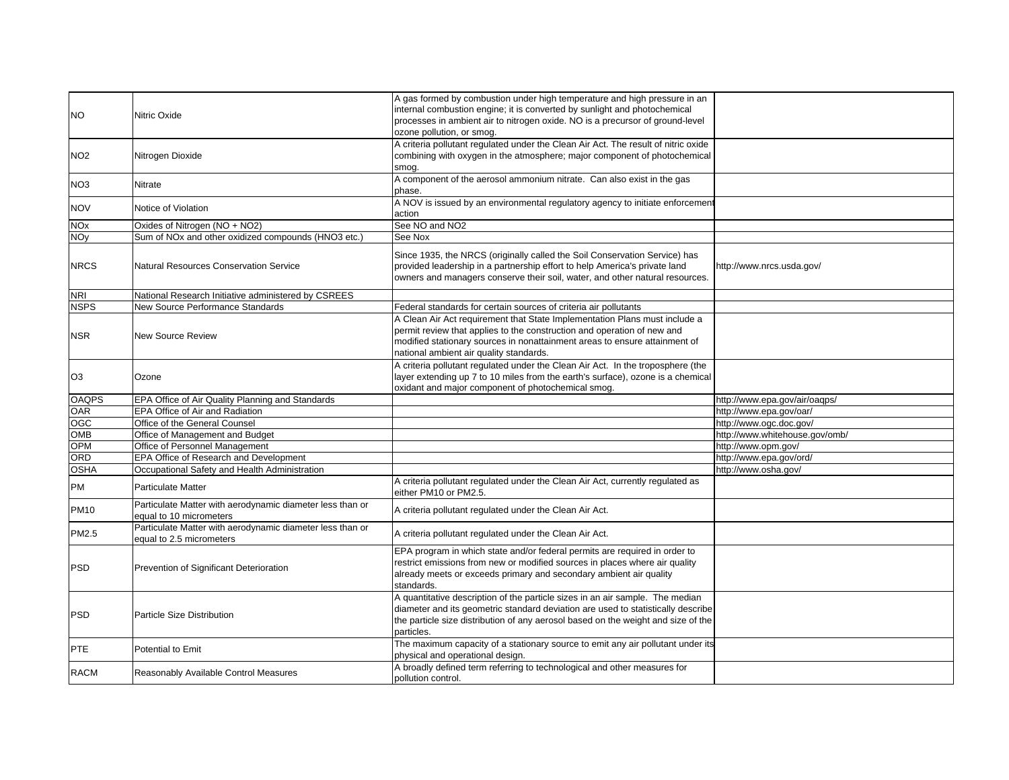| <b>NO</b>             | Nitric Oxide                                                                          | A gas formed by combustion under high temperature and high pressure in an<br>internal combustion engine; it is converted by sunlight and photochemical<br>processes in ambient air to nitrogen oxide. NO is a precursor of ground-level                                        |                                |
|-----------------------|---------------------------------------------------------------------------------------|--------------------------------------------------------------------------------------------------------------------------------------------------------------------------------------------------------------------------------------------------------------------------------|--------------------------------|
| NO <sub>2</sub>       | Nitrogen Dioxide                                                                      | ozone pollution, or smog.<br>A criteria pollutant regulated under the Clean Air Act. The result of nitric oxide<br>combining with oxygen in the atmosphere; major component of photochemical<br>smog.                                                                          |                                |
| NO <sub>3</sub>       | Nitrate                                                                               | A component of the aerosol ammonium nitrate. Can also exist in the gas<br>phase.                                                                                                                                                                                               |                                |
| <b>NOV</b>            | Notice of Violation                                                                   | A NOV is issued by an environmental regulatory agency to initiate enforcement<br>action                                                                                                                                                                                        |                                |
| <b>NO<sub>x</sub></b> | Oxides of Nitrogen (NO + NO2)                                                         | See NO and NO2                                                                                                                                                                                                                                                                 |                                |
| <b>NOy</b>            | Sum of NOx and other oxidized compounds (HNO3 etc.)                                   | See Nox                                                                                                                                                                                                                                                                        |                                |
| <b>NRCS</b>           | <b>Natural Resources Conservation Service</b>                                         | Since 1935, the NRCS (originally called the Soil Conservation Service) has<br>provided leadership in a partnership effort to help America's private land<br>owners and managers conserve their soil, water, and other natural resources.                                       | http://www.nrcs.usda.gov/      |
| <b>NRI</b>            | National Research Initiative administered by CSREES                                   |                                                                                                                                                                                                                                                                                |                                |
| <b>NSPS</b>           | New Source Performance Standards                                                      | Federal standards for certain sources of criteria air pollutants                                                                                                                                                                                                               |                                |
| <b>NSR</b>            | <b>New Source Review</b>                                                              | A Clean Air Act requirement that State Implementation Plans must include a<br>permit review that applies to the construction and operation of new and<br>modified stationary sources in nonattainment areas to ensure attainment of<br>national ambient air quality standards. |                                |
| O <sub>3</sub>        | Ozone                                                                                 | A criteria pollutant regulated under the Clean Air Act. In the troposphere (the<br>layer extending up 7 to 10 miles from the earth's surface), ozone is a chemical<br>oxidant and major component of photochemical smog.                                                       |                                |
| <b>OAQPS</b>          | EPA Office of Air Quality Planning and Standards                                      |                                                                                                                                                                                                                                                                                | http://www.epa.gov/air/oaqps/  |
| <b>OAR</b>            | EPA Office of Air and Radiation                                                       |                                                                                                                                                                                                                                                                                | http://www.epa.gov/oar/        |
| OGC                   | Office of the General Counsel                                                         |                                                                                                                                                                                                                                                                                | http://www.ogc.doc.gov/        |
| OMB                   | Office of Management and Budget                                                       |                                                                                                                                                                                                                                                                                | http://www.whitehouse.gov/omb/ |
| OPM                   | Office of Personnel Management                                                        |                                                                                                                                                                                                                                                                                | http://www.opm.gov/            |
| ORD                   | EPA Office of Research and Development                                                |                                                                                                                                                                                                                                                                                | http://www.epa.gov/ord/        |
| <b>OSHA</b>           | Occupational Safety and Health Administration                                         |                                                                                                                                                                                                                                                                                | http://www.osha.gov/           |
| PM                    | <b>Particulate Matter</b>                                                             | A criteria pollutant regulated under the Clean Air Act, currently regulated as<br>either PM10 or PM2.5.                                                                                                                                                                        |                                |
| <b>PM10</b>           | Particulate Matter with aerodynamic diameter less than or<br>equal to 10 micrometers  | A criteria pollutant regulated under the Clean Air Act.                                                                                                                                                                                                                        |                                |
| PM2.5                 | Particulate Matter with aerodynamic diameter less than or<br>equal to 2.5 micrometers | A criteria pollutant regulated under the Clean Air Act.                                                                                                                                                                                                                        |                                |
| <b>PSD</b>            | Prevention of Significant Deterioration                                               | EPA program in which state and/or federal permits are required in order to<br>restrict emissions from new or modified sources in places where air quality<br>already meets or exceeds primary and secondary ambient air quality<br>standards.                                  |                                |
| <b>PSD</b>            | Particle Size Distribution                                                            | A quantitative description of the particle sizes in an air sample. The median<br>diameter and its geometric standard deviation are used to statistically describe<br>the particle size distribution of any aerosol based on the weight and size of the<br>particles.           |                                |
| PTE                   | Potential to Emit                                                                     | The maximum capacity of a stationary source to emit any air pollutant under its<br>physical and operational design.                                                                                                                                                            |                                |
| <b>RACM</b>           | Reasonably Available Control Measures                                                 | A broadly defined term referring to technological and other measures for<br>pollution control.                                                                                                                                                                                 |                                |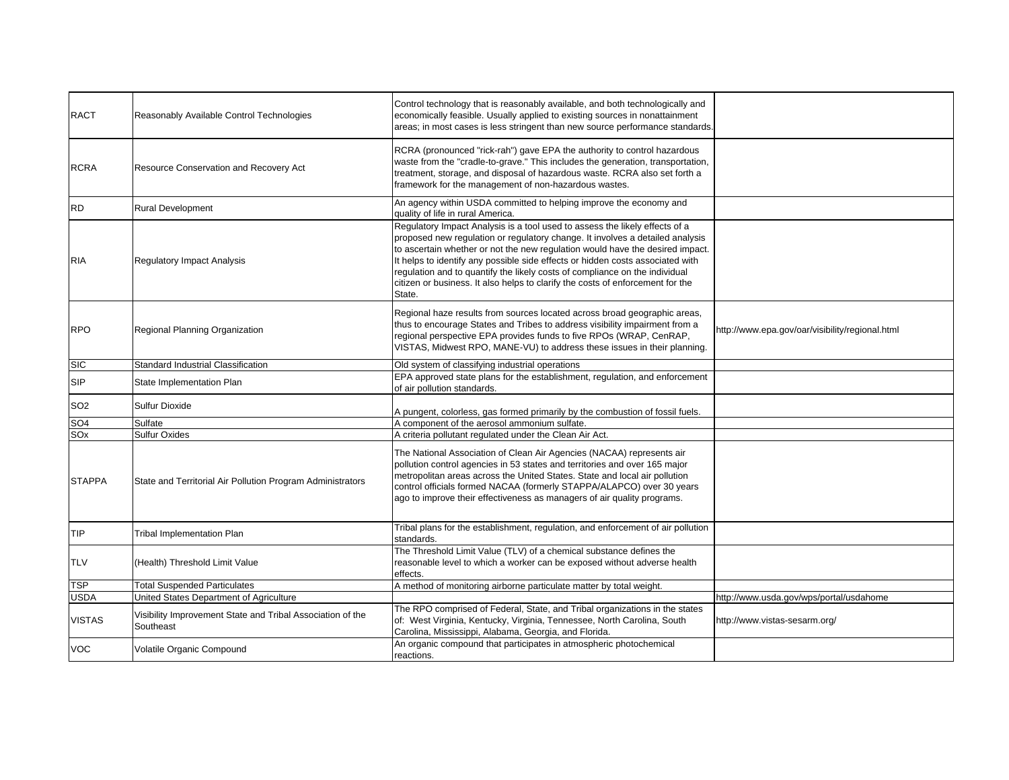| <b>RACT</b>     | Reasonably Available Control Technologies                               | Control technology that is reasonably available, and both technologically and<br>economically feasible. Usually applied to existing sources in nonattainment<br>areas; in most cases is less stringent than new source performance standards.                                                                                                                                                                                                                                                              |                                                 |
|-----------------|-------------------------------------------------------------------------|------------------------------------------------------------------------------------------------------------------------------------------------------------------------------------------------------------------------------------------------------------------------------------------------------------------------------------------------------------------------------------------------------------------------------------------------------------------------------------------------------------|-------------------------------------------------|
| <b>RCRA</b>     | Resource Conservation and Recovery Act                                  | RCRA (pronounced "rick-rah") gave EPA the authority to control hazardous<br>waste from the "cradle-to-grave." This includes the generation, transportation,<br>treatment, storage, and disposal of hazardous waste. RCRA also set forth a<br>framework for the management of non-hazardous wastes.                                                                                                                                                                                                         |                                                 |
| <b>RD</b>       | <b>Rural Development</b>                                                | An agency within USDA committed to helping improve the economy and<br>quality of life in rural America.                                                                                                                                                                                                                                                                                                                                                                                                    |                                                 |
| <b>RIA</b>      | <b>Regulatory Impact Analysis</b>                                       | Regulatory Impact Analysis is a tool used to assess the likely effects of a<br>proposed new regulation or regulatory change. It involves a detailed analysis<br>to ascertain whether or not the new regulation would have the desired impact.<br>It helps to identify any possible side effects or hidden costs associated with<br>regulation and to quantify the likely costs of compliance on the individual<br>citizen or business. It also helps to clarify the costs of enforcement for the<br>State. |                                                 |
| <b>RPO</b>      | Regional Planning Organization                                          | Regional haze results from sources located across broad geographic areas,<br>thus to encourage States and Tribes to address visibility impairment from a<br>regional perspective EPA provides funds to five RPOs (WRAP, CenRAP,<br>VISTAS, Midwest RPO, MANE-VU) to address these issues in their planning.                                                                                                                                                                                                | http://www.epa.gov/oar/visibility/regional.html |
| <b>SIC</b>      | Standard Industrial Classification                                      | Old system of classifying industrial operations                                                                                                                                                                                                                                                                                                                                                                                                                                                            |                                                 |
| <b>SIP</b>      | State Implementation Plan                                               | EPA approved state plans for the establishment, regulation, and enforcement<br>of air pollution standards.                                                                                                                                                                                                                                                                                                                                                                                                 |                                                 |
| SO <sub>2</sub> | <b>Sulfur Dioxide</b>                                                   | A pungent, colorless, gas formed primarily by the combustion of fossil fuels.                                                                                                                                                                                                                                                                                                                                                                                                                              |                                                 |
| SO <sub>4</sub> | Sulfate                                                                 | A component of the aerosol ammonium sulfate.                                                                                                                                                                                                                                                                                                                                                                                                                                                               |                                                 |
| SO <sub>x</sub> | <b>Sulfur Oxides</b>                                                    | A criteria pollutant regulated under the Clean Air Act.                                                                                                                                                                                                                                                                                                                                                                                                                                                    |                                                 |
| <b>STAPPA</b>   | State and Territorial Air Pollution Program Administrators              | The National Association of Clean Air Agencies (NACAA) represents air<br>pollution control agencies in 53 states and territories and over 165 major<br>metropolitan areas across the United States. State and local air pollution<br>control officials formed NACAA (formerly STAPPA/ALAPCO) over 30 years<br>ago to improve their effectiveness as managers of air quality programs.                                                                                                                      |                                                 |
| TIP             | <b>Tribal Implementation Plan</b>                                       | Tribal plans for the establishment, regulation, and enforcement of air pollution<br>standards.                                                                                                                                                                                                                                                                                                                                                                                                             |                                                 |
| <b>TLV</b>      | (Health) Threshold Limit Value                                          | The Threshold Limit Value (TLV) of a chemical substance defines the<br>reasonable level to which a worker can be exposed without adverse health<br>effects.                                                                                                                                                                                                                                                                                                                                                |                                                 |
| <b>TSP</b>      | <b>Total Suspended Particulates</b>                                     | A method of monitoring airborne particulate matter by total weight.                                                                                                                                                                                                                                                                                                                                                                                                                                        |                                                 |
| <b>USDA</b>     | United States Department of Agriculture                                 |                                                                                                                                                                                                                                                                                                                                                                                                                                                                                                            | http://www.usda.gov/wps/portal/usdahome         |
| <b>VISTAS</b>   | Visibility Improvement State and Tribal Association of the<br>Southeast | The RPO comprised of Federal, State, and Tribal organizations in the states<br>of: West Virginia, Kentucky, Virginia, Tennessee, North Carolina, South<br>Carolina, Mississippi, Alabama, Georgia, and Florida.                                                                                                                                                                                                                                                                                            | http://www.vistas-sesarm.org/                   |
| <b>VOC</b>      | Volatile Organic Compound                                               | An organic compound that participates in atmospheric photochemical<br>reactions.                                                                                                                                                                                                                                                                                                                                                                                                                           |                                                 |